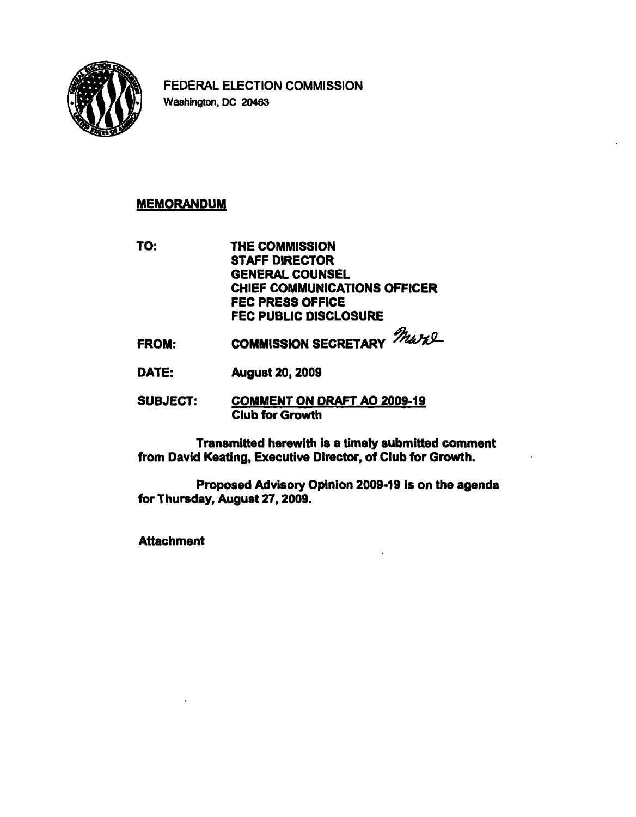

FEDERAL ELECTION COMMISSION Washington. DC 20463

## MEMORANDUM

TO: THE COMMISSION STAFF DIRECTOR GENERAL COUNSEL CHIEF COMMUNICATIONS OFFICER FEC PRESS OFFICE FEC PUBLIC DISCLOSURE

- FROM: COMMISSION SECRETARY MANU-
- DATE: August 20,2009
- SUBJECT: COMMENT ON DRAFT AO 2009-19 Club for Growth

Transmitted herewith is a timely submitted comment from David Keating, Executive Director, of Club for Growth.

Proposed Advisory Opinion 2009-19 is on the agenda for Thursday, August 27,2009.

**Attachment**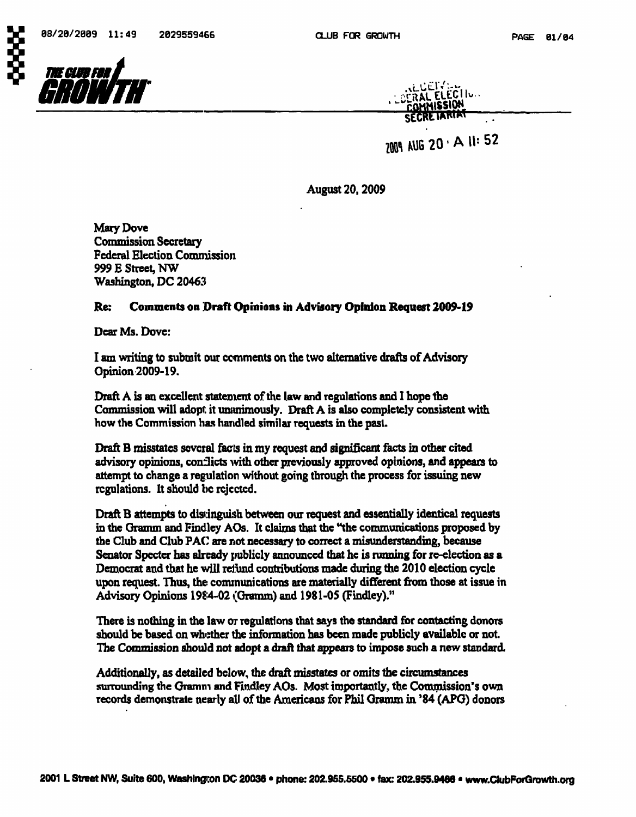

| <b>ALLEVER</b><br>LOCRAL ELECTION<br><b>COMMISSION</b> |  |
|--------------------------------------------------------|--|
| SECRETARIAT                                            |  |

2009 AUG 20 · A 11: 52

August 20,2009

Mary Dove Commission Secretary Federal Election Commission 999 E Street, NW Washington, DC 20463

## Re: Comments on Draft Opinions in Advisory Opinion Request 2009-19

Dear Ms. Dove:

I am writing to submit our comments on the two alternative drafts of Advisory Opinion 2009-19.

Draft A is an excellent statement of the law and regulations and I hope the Commission will adopt it unanimously. Draft  $A$  is also completely consistent with how the Commission has handled similar requests in the past.

Draft B misstates several facts in my request and significant facts in other cited advisory opinions, conflicts with other previously approved opinions, and appears to attempt to change a regulation without going through the process for issuing new regulations. It should be rejected.

Draft B attempts to distinguish between our request and essentially identical requests in the Gramm and Findley AOs. It claims that the "the communications proposed by the Club and Club PAC are not necessary to correct a misunderstanding, because Senator Specter has already publicly announced that he is running for re-election as a Democrat and that he will refiind contributions made during the 2010 election cycle upon request. Thus, the communications are materially different from those at issue in Advisory Opinions 1984-02 (Gramm) and 1981-05 (Findley)."

There is nothing in the law or regulations that says the standard for contacting donors should be based on whether the information has been made publicly available or not. The Commission should not adopt a draft that appears to impose such a new standard.

Additionally, as detailed below, the draft misstates or omits the circumstances surrounding the Gramm and Findley AOs. Most importantly, the Commission's own records demonstrate nearly all of the Americans for Phil Gramm in '84 (APO) donors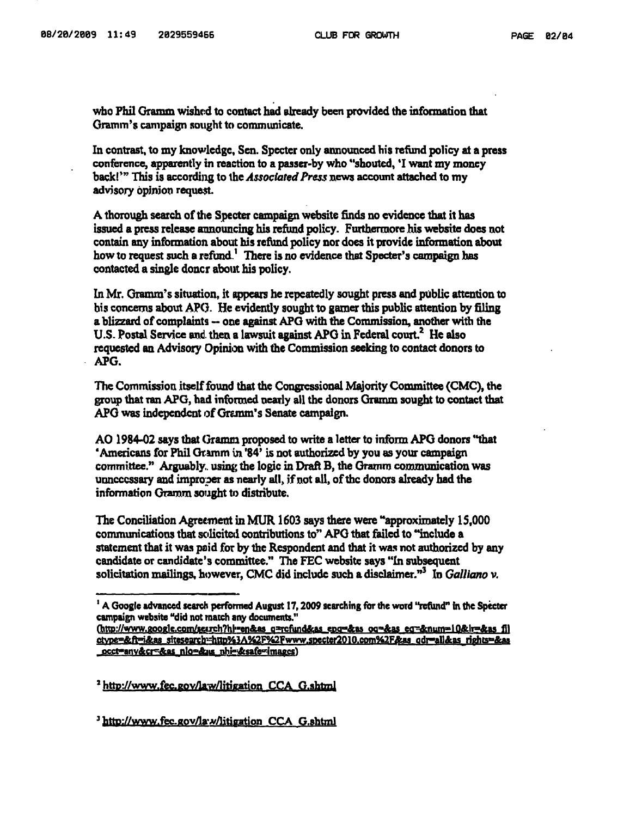who Phil Gramm wished to contact had already been provided the information that Gramm's campaign sought to communicate.

In contrast, to my knowledge, Sen. Specter only announced his refund policy at a press conference, apparently in reaction to a passer-by who "shouted, 'I want my money back!" This is according to the Associated Press news account attached to my advisory opinion request.

A thorough search of the Specter campaign website finds no evidence that it has issued a press release announcing his refund policy. Furthermore his website does not contain any information about bis refund policy nor does it provide information about how to request such a refund.<sup>1</sup> There is no evidence that Specter's campaign has contacted a single doncr about his policy.

In Mr. Gramm's situation, it appears he repeatedly sought press and public attention to bis concerns about APG. He evidently sought to gamer this public attention by filing a blizzard of complaints ~ one against APG with the Commission, another with the U.S. Postal Service and then a lawsuit against APG in Federal court.<sup>2</sup> He also requested an Advisory Opinion with the Commission seeking to contact donors to APG.

The Commission itself found that the Congressional Majority Committee (CMC), the group that ran APG, had informed nearly all the donors Gramm sought to contact that APG was independent of Gramm's Senate campaign.

AO 1984-02 says that (}ramm proposed to write a letter to inform APG donors "that 'Americans for Phil Gramm in '84' is not authorized by you as your campaign committee." Arguably. using the logic in Draft B, the Gramm communication was unnecessary and improper as nearly all, if not all, of the donors already had the information Gramm sought to distribute.

The Conciliation Agreement in MUR1603 says there were "approximately 15,000 communications that solicited contributions to" APG that failed to "include a statement that it was paid for by the Respondent and that it was not authorized by any candidate or candidate's committee." The FEC website says "In subsequent solicitation mailings, however, CMC did include such a disclaimer."<sup>3</sup> In Galliano v.

<sup>2</sup> http://www.fec.gov/law/litigation CCA G.shtml

<sup>3</sup> http://www.fec.gov/law/litigation CCA G.shtml

<sup>&</sup>lt;sup>1</sup> A Google advanced search performed August 17, 2009 searching for the word "refund" in the Specter campaign website "did not match any documents."<br>(http://www.google.com/search?hi=en&as\_q=rofund&as\_epg=&as\_oq=&as\_eq=&num=10&ir=&as\_fi]

ctype=&ft=i&as\_sitesearch:=http%3A%2F%2Fwww.specter2010.com%2F&as\_qdr=all&as\_rights==&as <u>occt=any&cr=&as\_nlo=&us\_nhi=&safe=images)</u>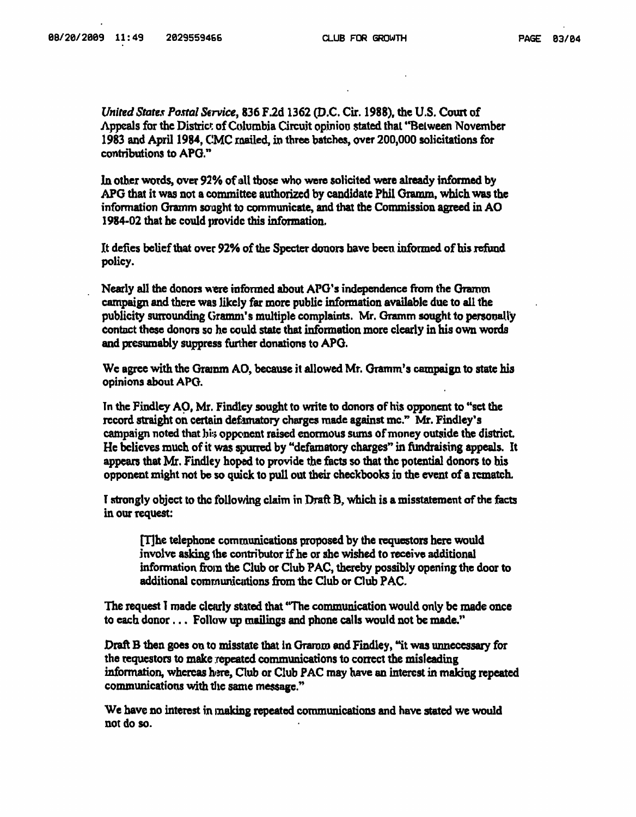United States Postal Service, 836 F.2d 1362 (D.C. Cir. 1988), the U.S. Court of Appeals for the District of Columbia Circuit opinion stated thai "Between November 1983 and April 1984, CMC mailed, in three batches, over 200,000 solicitations for contributions to APG."

In other words, over 92% of all those who were solicited were already informed by APG that it was not a committee authorized by candidate Phil Gramm, which was the information Gramm sought to communicate, and that the Commission agreed in AO 1984-02 that he could provide this information.

It defies belief that over 92% of the Specter donors have been informed of his refund policy.

Nearly all the donors were informed about APG's independence from the Gramm campaign and there was likely far more public information available due to all the publicity surrounding Gramm's multiple complaints. Mr. Gramm sought to personally contact these donors so he could state that information more clearly in his own words and presumably suppress further donations to APG.

We agree with the Gramm AO, because it allowed Mr. Gramm's campaign to state his opinions about APG.

In the Findley AO, Mr. Findley sought to write to donors of his opponent to "set the record straight on certain defamatory charges made against me." Mr. Findley's campaign noted that his opponent raised enormous sums of money outside the district. He believes much of it was spurred by "defamatory charges" in fiindraising appeals. It appears that Mr. Findley hoped to provide the facts so that the potential donors to his opponent might not be so quick to pull out their checkbooks in the event of a rematch.

T strongly object to the following claim in Draft B, which is a misstatement of the facts in our request:

[T]he telephone communications proposed by the requestors here would involve asking 1he contributor if he or she wished to receive additional information from the Club or Club ?AC, thereby possibly opening the door to additional communications from the Club or Club PAC.

The request 1 made clearly stated that 'The communication would only be made once to each donor... Follow up mailings and phone calls would not be made."

Draft B then goes on to misstate that in Graroro and Findley, "it was unnecessary for the requestors to make repeated communications to correct the misleading information, whereas here, Club or Club PAC may have an interest in making repeated communications with the same message."

We have no interest in making repeated communications and have stated we would not do so.